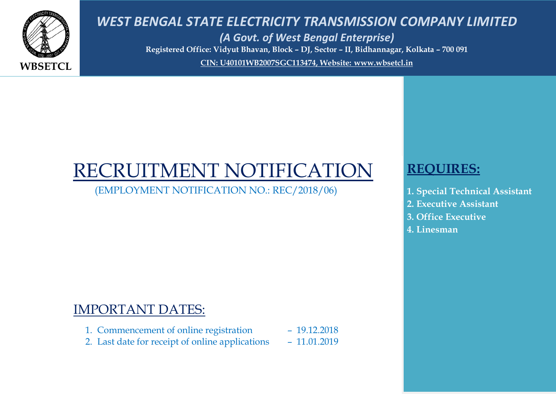

*WEST BENGAL STATE ELECTRICITY TRANSMISSION COMPANY LIMITED (A Govt. of West Bengal Enterprise)* **Registered Office: Vidyut Bhavan, Block – DJ, Sector – II, Bidhannagar, Kolkata – 700 091 CIN: U40101WB2007SGC113474, Website: [www.wbsetcl.in](http://www.wbsetcl.in/)**

# RECRUITMENT NOTIFICATION

(EMPLOYMENT NOTIFICATION NO.: REC/2018/06)

## IMPORTANT DATES:

- 1. Commencement of online registration 19.12.2018
- 2. Last date for receipt of online applications 11.01.2019

# **REQUIRES:**

- **1. Special Technical Assistant**
- **2. Executive Assistant**
- **3. Office Executive**
- **4. Linesman**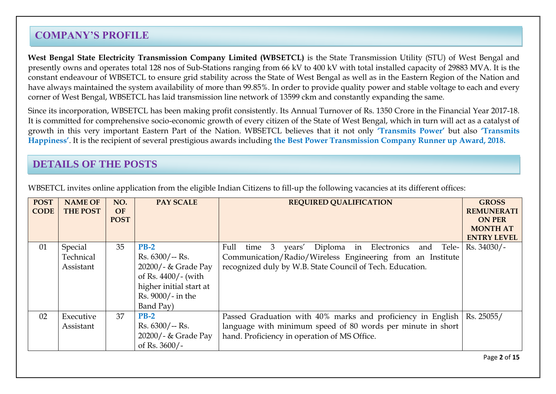## **COMPANY'S PROFILE**

**West Bengal State Electricity Transmission Company Limited (WBSETCL)** is the State Transmission Utility (STU) of West Bengal and presently owns and operates total 128 nos of Sub-Stations ranging from 66 kV to 400 kV with total installed capacity of 29883 MVA. It is the constant endeavour of WBSETCL to ensure grid stability across the State of West Bengal as well as in the Eastern Region of the Nation and have always maintained the system availability of more than 99.85%. In order to provide quality power and stable voltage to each and every corner of West Bengal, WBSETCL has laid transmission line network of 13599 ckm and constantly expanding the same.

Since its incorporation, WBSETCL has been making profit consistently. Its Annual Turnover of Rs. 1350 Crore in the Financial Year 2017-18. It is committed for comprehensive socio-economic growth of every citizen of the State of West Bengal, which in turn will act as a catalyst of growth in this very important Eastern Part of the Nation. WBSETCL believes that it not only **"Transmits Power"** but also **"Transmits Happiness"**. It is the recipient of several prestigious awards including **the Best Power Transmission Company Runner up Award, 2018.**

#### **DETAILS OF THE POSTS**

| <b>POST</b><br><b>CODE</b> | <b>NAME OF</b><br><b>THE POST</b> | NO.<br><b>OF</b><br><b>POST</b> | <b>PAY SCALE</b>                                                                                                                      | <b>REQUIRED QUALIFICATION</b>                                                                                                                                                     | <b>GROSS</b><br><b>REMUNERATI</b><br><b>ON PER</b><br><b>MONTH AT</b><br><b>ENTRY LEVEL</b> |
|----------------------------|-----------------------------------|---------------------------------|---------------------------------------------------------------------------------------------------------------------------------------|-----------------------------------------------------------------------------------------------------------------------------------------------------------------------------------|---------------------------------------------------------------------------------------------|
| 01                         | Special<br>Technical<br>Assistant | 35                              | $PB-2$<br>$Rs. 6300/- Rs.$<br>20200/- & Grade Pay<br>of Rs. 4400/- (with<br>higher initial start at<br>Rs. 9000/- in the<br>Band Pay) | time 3 years' Diploma in Electronics and Tele-<br>Full<br>Communication/Radio/Wireless Engineering from an Institute<br>recognized duly by W.B. State Council of Tech. Education. | Rs. 34030/-                                                                                 |
| 02                         | Executive<br>Assistant            | 37                              | $PB-2$<br>$Rs. 6300/ - Rs.$<br>20200/- & Grade Pay<br>of Rs. $3600/-$                                                                 | Passed Graduation with 40% marks and proficiency in English<br>language with minimum speed of 80 words per minute in short<br>hand. Proficiency in operation of MS Office.        | Rs. 25055/                                                                                  |

WBSETCL invites online application from the eligible Indian Citizens to fill-up the following vacancies at its different offices: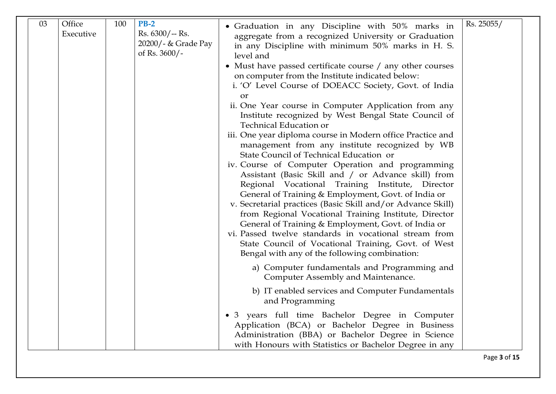| 20200/- & Grade Pay<br>in any Discipline with minimum 50% marks in H. S.<br>of Rs. 3600/-<br>level and<br>• Must have passed certificate course / any other courses<br>on computer from the Institute indicated below:<br>i. 'O' Level Course of DOEACC Society, Govt. of India<br><b>or</b><br>ii. One Year course in Computer Application from any<br>Institute recognized by West Bengal State Council of<br><b>Technical Education or</b><br>iii. One year diploma course in Modern office Practice and<br>management from any institute recognized by WB<br>State Council of Technical Education or<br>iv. Course of Computer Operation and programming<br>Assistant (Basic Skill and / or Advance skill) from<br>Regional Vocational Training Institute, Director<br>General of Training & Employment, Govt. of India or<br>v. Secretarial practices (Basic Skill and/or Advance Skill)<br>from Regional Vocational Training Institute, Director<br>General of Training & Employment, Govt. of India or<br>vi. Passed twelve standards in vocational stream from<br>State Council of Vocational Training, Govt. of West<br>Bengal with any of the following combination:<br>a) Computer fundamentals and Programming and<br>Computer Assembly and Maintenance. |  |
|----------------------------------------------------------------------------------------------------------------------------------------------------------------------------------------------------------------------------------------------------------------------------------------------------------------------------------------------------------------------------------------------------------------------------------------------------------------------------------------------------------------------------------------------------------------------------------------------------------------------------------------------------------------------------------------------------------------------------------------------------------------------------------------------------------------------------------------------------------------------------------------------------------------------------------------------------------------------------------------------------------------------------------------------------------------------------------------------------------------------------------------------------------------------------------------------------------------------------------------------------------------------|--|
| b) IT enabled services and Computer Fundamentals<br>and Programming                                                                                                                                                                                                                                                                                                                                                                                                                                                                                                                                                                                                                                                                                                                                                                                                                                                                                                                                                                                                                                                                                                                                                                                                  |  |
| · 3 years full time Bachelor Degree in Computer<br>Application (BCA) or Bachelor Degree in Business<br>Administration (BBA) or Bachelor Degree in Science<br>with Honours with Statistics or Bachelor Degree in any                                                                                                                                                                                                                                                                                                                                                                                                                                                                                                                                                                                                                                                                                                                                                                                                                                                                                                                                                                                                                                                  |  |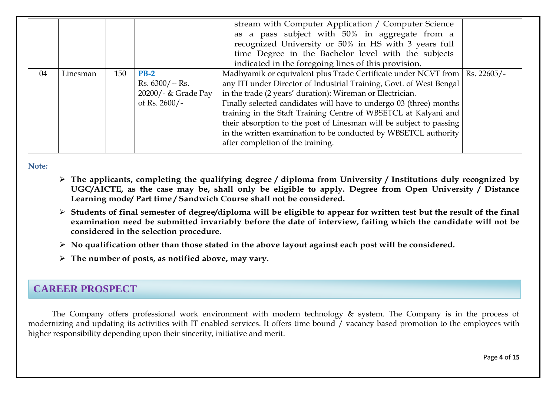|    |          |     |                     | stream with Computer Application / Computer Science<br>as a pass subject with 50% in aggregate from a |  |
|----|----------|-----|---------------------|-------------------------------------------------------------------------------------------------------|--|
|    |          |     |                     | recognized University or 50% in HS with 3 years full                                                  |  |
|    |          |     |                     | time Degree in the Bachelor level with the subjects                                                   |  |
|    |          |     |                     | indicated in the foregoing lines of this provision.                                                   |  |
| 04 | Linesman | 150 | $PB-2$              | Madhyamik or equivalent plus Trade Certificate under NCVT from   Rs. 22605/-                          |  |
|    |          |     | $Rs. 6300/- Rs.$    | any ITI under Director of Industrial Training, Govt. of West Bengal                                   |  |
|    |          |     | 20200/- & Grade Pay | in the trade (2 years' duration): Wireman or Electrician.                                             |  |
|    |          |     | of Rs. $2600/-$     | Finally selected candidates will have to undergo 03 (three) months                                    |  |
|    |          |     |                     | training in the Staff Training Centre of WBSETCL at Kalyani and                                       |  |
|    |          |     |                     | their absorption to the post of Linesman will be subject to passing                                   |  |
|    |          |     |                     | in the written examination to be conducted by WBSETCL authority                                       |  |
|    |          |     |                     | after completion of the training.                                                                     |  |

**Note***:* 

- **The applicants, completing the qualifying degree / diploma from University / Institutions duly recognized by UGC/AICTE, as the case may be, shall only be eligible to apply. Degree from Open University / Distance Learning mode/ Part time / Sandwich Course shall not be considered.**
- **Students of final semester of degree/diploma will be eligible to appear for written test but the result of the final examination need be submitted invariably before the date of interview, failing which the candidate will not be considered in the selection procedure.**
- **No qualification other than those stated in the above layout against each post will be considered.**
- **The number of posts, as notified above, may vary.**

## **CAREER PROSPECT**

The Company offers professional work environment with modern technology & system. The Company is in the process of modernizing and updating its activities with IT enabled services. It offers time bound / vacancy based promotion to the employees with higher responsibility depending upon their sincerity, initiative and merit.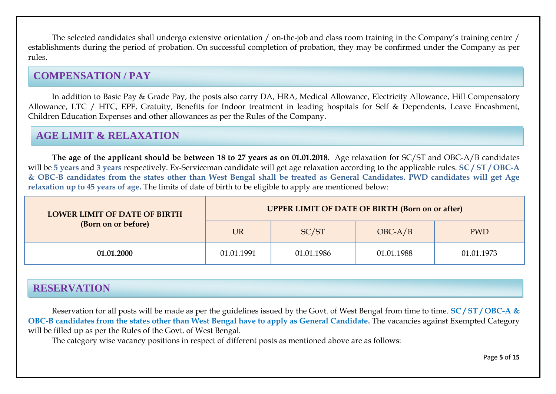The selected candidates shall undergo extensive orientation / on-the-job and class room training in the Company's training centre / establishments during the period of probation. On successful completion of probation, they may be confirmed under the Company as per rules.

## **COMPENSATION / PAY**

In addition to Basic Pay & Grade Pay, the posts also carry DA, HRA, Medical Allowance, Electricity Allowance, Hill Compensatory Allowance, LTC / HTC, EPF, Gratuity, Benefits for Indoor treatment in leading hospitals for Self & Dependents, Leave Encashment, Children Education Expenses and other allowances as per the Rules of the Company.

## **AGE LIMIT & RELAXATION**

**The age of the applicant should be between 18 to 27 years as on 01.01.2018**. Age relaxation for SC/ST and OBC-A/B candidates will be **5 years** and **3 years** respectively. Ex-Serviceman candidate will get age relaxation according to the applicable rules. **SC / ST / OBC-A & OBC-B candidates from the states other than West Bengal shall be treated as General Candidates. PWD candidates will get Age relaxation up to 45 years of age.** The limits of date of birth to be eligible to apply are mentioned below:

| <b>LOWER LIMIT OF DATE OF BIRTH</b> | <b>UPPER LIMIT OF DATE OF BIRTH (Born on or after)</b> |            |            |            |  |  |  |  |
|-------------------------------------|--------------------------------------------------------|------------|------------|------------|--|--|--|--|
| (Born on or before)                 | <b>UR</b>                                              | SC/ST      | $OBC-A/B$  | <b>PWD</b> |  |  |  |  |
| 01.01.2000                          | 01.01.1991                                             | 01.01.1986 | 01.01.1988 | 01.01.1973 |  |  |  |  |

## **RESERVATION**

Reservation for all posts will be made as per the guidelines issued by the Govt. of West Bengal from time to time. **SC / ST / OBC-A & OBC-B candidates from the states other than West Bengal have to apply as General Candidate.** The vacancies against Exempted Category will be filled up as per the Rules of the Govt. of West Bengal.

The category wise vacancy positions in respect of different posts as mentioned above are as follows: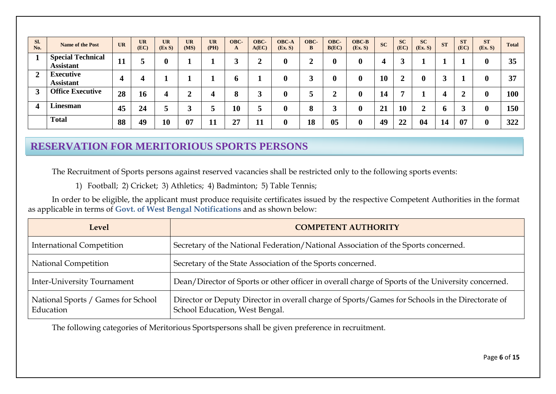| SI.<br>No.       | <b>Name of the Post</b>                      | <b>UR</b>            | <b>UR</b><br>(EC) | <b>UR</b><br>(EXS) | <b>UR</b><br>(MS) | <b>UR</b><br>(PH) | OBC-<br>A | OBC-<br>A(EC) | <b>OBC-A</b><br>(EX, S) | OBC-<br>B     | OBC-<br>B(EC) | OBC-B<br>(EX.S)  | <b>SC</b> | <b>SC</b><br>(EC) | <b>SC</b><br>(Ex. S) | <b>ST</b>    | <b>ST</b><br>(EC) | <b>ST</b><br>(EX. S) | <b>Total</b> |
|------------------|----------------------------------------------|----------------------|-------------------|--------------------|-------------------|-------------------|-----------|---------------|-------------------------|---------------|---------------|------------------|-----------|-------------------|----------------------|--------------|-------------------|----------------------|--------------|
|                  | <b>Special Technical</b><br><b>Assistant</b> | $\blacksquare$<br>11 |                   |                    |                   |                   |           |               | $\bf{0}$                | ◢             | 0             | $\boldsymbol{0}$ | $\angle$  |                   |                      |              |                   | $\mathbf 0$          | 35           |
| $\overline{2}$   | <b>Executive</b><br><b>Assistant</b>         | 4                    | Δ                 |                    |                   |                   | h         |               | $\mathbf 0$             | ◠<br>نم       | 0             | 0                | <b>10</b> | ◠<br>◢            | $\mathbf{0}$         | $\mathbf{R}$ |                   | $\bf{0}$             | 37           |
| 3                | <b>Office Executive</b>                      | 28                   | 16                | 4                  | ◢                 |                   | 8         |               | $\mathbf 0$             | a             | ◠<br>车        | $\bf{0}$         | 14        | 7                 |                      | 4            |                   | $\mathbf 0$          | 100          |
| $\boldsymbol{4}$ | Linesman                                     | 45                   | 24                |                    |                   |                   | <b>10</b> |               | $\mathbf 0$             | $\Omega$<br>O | ◠<br>ັ        | 0                | 21        | 10                |                      | O            |                   | 0                    | 150          |
|                  | <b>Total</b>                                 | 88                   | 49                | 10                 | 07                | 11                | 27        | <b>11</b>     | $\bf{0}$                | 18            | 05            | $\boldsymbol{0}$ | 49        | 22                | 04                   | 14           | 07                | $\mathbf 0$          | 322          |

## **RESERVATION FOR MERITORIOUS SPORTS PERSONS**

The Recruitment of Sports persons against reserved vacancies shall be restricted only to the following sports events:

1) Football; 2) Cricket; 3) Athletics; 4) Badminton; 5) Table Tennis;

In order to be eligible, the applicant must produce requisite certificates issued by the respective Competent Authorities in the format as applicable in terms of **Govt. of West Bengal Notifications** and as shown below:

| Level                                           | <b>COMPETENT AUTHORITY</b>                                                                                                        |
|-------------------------------------------------|-----------------------------------------------------------------------------------------------------------------------------------|
| <b>International Competition</b>                | Secretary of the National Federation/National Association of the Sports concerned.                                                |
| <b>National Competition</b>                     | Secretary of the State Association of the Sports concerned.                                                                       |
| <b>Inter-University Tournament</b>              | Dean/Director of Sports or other officer in overall charge of Sports of the University concerned.                                 |
| National Sports / Games for School<br>Education | Director or Deputy Director in overall charge of Sports/Games for Schools in the Directorate of<br>School Education, West Bengal. |

The following categories of Meritorious Sportspersons shall be given preference in recruitment.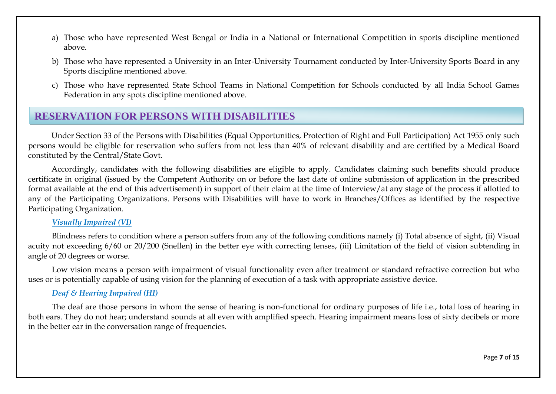- a) Those who have represented West Bengal or India in a National or International Competition in sports discipline mentioned above.
- b) Those who have represented a University in an Inter-University Tournament conducted by Inter-University Sports Board in any Sports discipline mentioned above.
- c) Those who have represented State School Teams in National Competition for Schools conducted by all India School Games Federation in any spots discipline mentioned above.

## **RESERVATION FOR PERSONS WITH DISABILITIES**

Under Section 33 of the Persons with Disabilities (Equal Opportunities, Protection of Right and Full Participation) Act 1955 only such persons would be eligible for reservation who suffers from not less than 40% of relevant disability and are certified by a Medical Board constituted by the Central/State Govt.

Accordingly, candidates with the following disabilities are eligible to apply. Candidates claiming such benefits should produce certificate in original (issued by the Competent Authority on or before the last date of online submission of application in the prescribed format available at the end of this advertisement) in support of their claim at the time of Interview/at any stage of the process if allotted to any of the Participating Organizations. Persons with Disabilities will have to work in Branches/Offices as identified by the respective Participating Organization.

#### *Visually Impaired (VI)*

Blindness refers to condition where a person suffers from any of the following conditions namely (i) Total absence of sight, (ii) Visual acuity not exceeding 6/60 or 20/200 (Snellen) in the better eye with correcting lenses, (iii) Limitation of the field of vision subtending in angle of 20 degrees or worse.

Low vision means a person with impairment of visual functionality even after treatment or standard refractive correction but who uses or is potentially capable of using vision for the planning of execution of a task with appropriate assistive device.

#### *Deaf & Hearing Impaired (HI)*

The deaf are those persons in whom the sense of hearing is non-functional for ordinary purposes of life i.e., total loss of hearing in both ears. They do not hear; understand sounds at all even with amplified speech. Hearing impairment means loss of sixty decibels or more in the better ear in the conversation range of frequencies.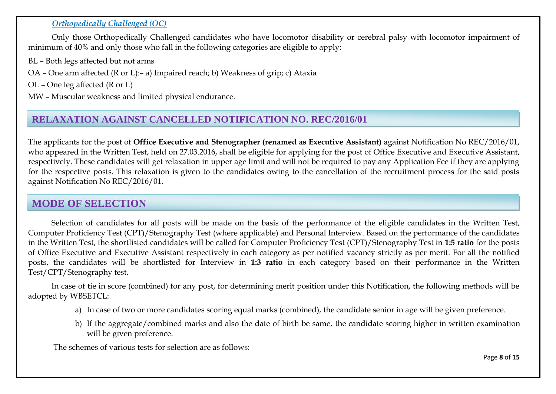#### *Orthopedically Challenged (OC)*

Only those Orthopedically Challenged candidates who have locomotor disability or cerebral palsy with locomotor impairment of minimum of 40% and only those who fall in the following categories are eligible to apply:

- BL Both legs affected but not arms
- OA One arm affected (R or L):– a) Impaired reach; b) Weakness of grip; c) Ataxia

OL – One leg affected (R or L)

MW – Muscular weakness and limited physical endurance.

## **RELAXATION AGAINST CANCELLED NOTIFICATION NO. REC/2016/01**

The applicants for the post of **Office Executive and Stenographer (renamed as Executive Assistant)** against Notification No REC/2016/01, who appeared in the Written Test, held on 27.03.2016, shall be eligible for applying for the post of Office Executive and Executive Assistant, respectively. These candidates will get relaxation in upper age limit and will not be required to pay any Application Fee if they are applying for the respective posts. This relaxation is given to the candidates owing to the cancellation of the recruitment process for the said posts against Notification No REC/2016/01.

#### **MODE OF SELECTION**

Selection of candidates for all posts will be made on the basis of the performance of the eligible candidates in the Written Test, Computer Proficiency Test (CPT)/Stenography Test (where applicable) and Personal Interview. Based on the performance of the candidates in the Written Test, the shortlisted candidates will be called for Computer Proficiency Test (CPT)/Stenography Test in **1:5 ratio** for the posts of Office Executive and Executive Assistant respectively in each category as per notified vacancy strictly as per merit. For all the notified posts, the candidates will be shortlisted for Interview in **1:3 ratio** in each category based on their performance in the Written Test/CPT/Stenography test.

In case of tie in score (combined) for any post, for determining merit position under this Notification, the following methods will be adopted by WBSETCL:

- a) In case of two or more candidates scoring equal marks (combined), the candidate senior in age will be given preference.
- b) If the aggregate/combined marks and also the date of birth be same, the candidate scoring higher in written examination will be given preference.

The schemes of various tests for selection are as follows: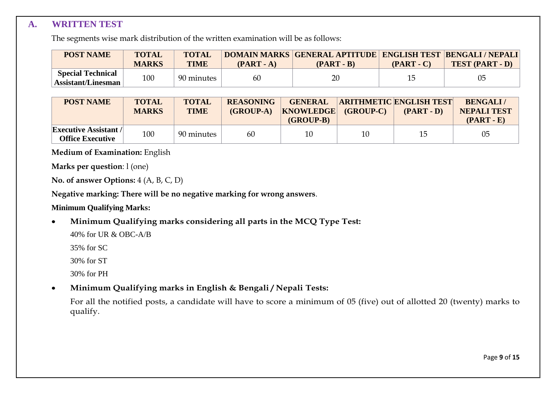#### **A. WRITTEN TEST**

The segments wise mark distribution of the written examination will be as follows:

| <b>POST NAME</b>                               | <b>TOTAL</b><br><b>MARKS</b> | <b>TOTAL</b><br><b>TIME</b> | $(PART - A)$ | DOMAIN MARKS GENERAL APTITUDE ENGLISH TEST BENGALI / NEPALI<br>$(PART - B)$ | $(PART - C)$ | <b>TEST (PART - D)</b> |
|------------------------------------------------|------------------------------|-----------------------------|--------------|-----------------------------------------------------------------------------|--------------|------------------------|
| <b>Special Technical</b><br>Assistant/Linesman | 100                          | 90 minutes                  | 60           | 20                                                                          | 15           |                        |

| <b>POST NAME</b>                                        | <b>TOTAL</b><br><b>MARKS</b> | <b>TOTAL</b><br><b>TIME</b> | <b>REASONING</b><br>$(GROUP-A)$ | <b>GENERAL</b><br><b>KNOWLEDGE</b><br>$(GROUP-B)$ | (GROUP-C) | <b>ARITHMETIC ENGLISH TEST</b><br>$(PART - D)$ | <b>BENGALI/</b><br><b>NEPALI TEST</b><br>$(PART - E)$ |
|---------------------------------------------------------|------------------------------|-----------------------------|---------------------------------|---------------------------------------------------|-----------|------------------------------------------------|-------------------------------------------------------|
| <b>Executive Assistant /</b><br><b>Office Executive</b> | 100                          | 90 minutes                  | 60                              | 10                                                | 10        | 15                                             | 05                                                    |

**Medium of Examination:** English

**Marks per question**: l (one)

**No. of answer Options:** 4 (A, B, C, D)

**Negative marking: There will be no negative marking for wrong answers**.

#### **Minimum Qualifying Marks:**

**Minimum Qualifying marks considering all parts in the MCQ Type Test:**

40% for UR & OBC-A/B

35% for SC

30% for ST

30% for PH

**Minimum Qualifying marks in English & Bengali / Nepali Tests:** 

For all the notified posts, a candidate will have to score a minimum of 05 (five) out of allotted 20 (twenty) marks to qualify.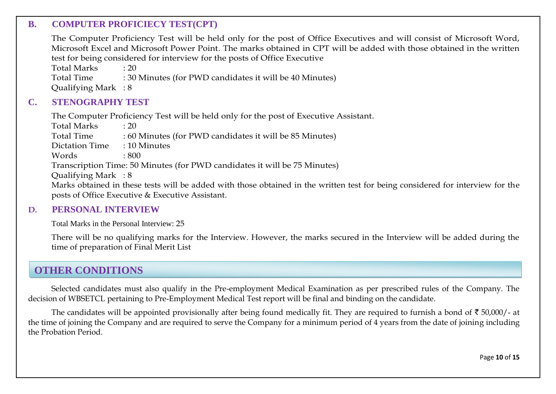#### **B. COMPUTER PROFICIECY TEST(CPT)**

The Computer Proficiency Test will be held only for the post of Office Executives and will consist of Microsoft Word, Microsoft Excel and Microsoft Power Point. The marks obtained in CPT will be added with those obtained in the written test for being considered for interview for the posts of Office Executive

Total Marks : 20

Total Time : 30 Minutes (for PWD candidates it will be 40 Minutes)

Qualifying Mark : 8

#### **C. STENOGRAPHY TEST**

The Computer Proficiency Test will be held only for the post of Executive Assistant.

Total Marks : 20<br>Total Time : 60 : 60 Minutes (for PWD candidates it will be 85 Minutes) Dictation Time : 10 Minutes Words  $\cdot$  800

Transcription Time: 50 Minutes (for PWD candidates it will be 75 Minutes)

Qualifying Mark : 8

Marks obtained in these tests will be added with those obtained in the written test for being considered for interview for the posts of Office Executive & Executive Assistant.

#### **D. PERSONAL INTERVIEW**

Total Marks in the Personal Interview: 25

There will be no qualifying marks for the Interview. However, the marks secured in the Interview will be added during the time of preparation of Final Merit List

#### **OTHER CONDITIONS**

Selected candidates must also qualify in the Pre-employment Medical Examination as per prescribed rules of the Company. The decision of WBSETCL pertaining to Pre-Employment Medical Test report will be final and binding on the candidate.

The candidates will be appointed provisionally after being found medically fit. They are required to furnish a bond of  $\bar{\tau}$  50,000/- at the time of joining the Company and are required to serve the Company for a minimum period of 4 years from the date of joining including the Probation Period.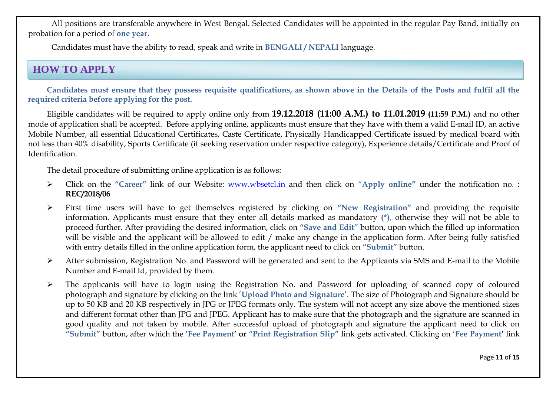All positions are transferable anywhere in West Bengal. Selected Candidates will be appointed in the regular Pay Band, initially on probation for a period of **one year**.

Candidates must have the ability to read, speak and write in **BENGALI / NEPALI** language.

## **HOW TO APPLY**

**Candidates must ensure that they possess requisite qualifications, as shown above in the Details of the Posts and fulfil all the required criteria before applying for the post.**

Eligible candidates will be required to apply online only from **19.12.2018 (11:00 A.M.) to 11.01.2019 (11:59 P.M.)** and no other mode of application shall be accepted. Before applying online, applicants must ensure that they have with them a valid E-mail ID, an active Mobile Number, all essential Educational Certificates, Caste Certificate, Physically Handicapped Certificate issued by medical board with not less than 40% disability, Sports Certificate (if seeking reservation under respective category), Experience details/Certificate and Proof of Identification.

The detail procedure of submitting online application is as follows:

- Click on the **"Career"** link of our Website: [www.wbsetcl.in](http://www.wbsetcl.in/) and then click on **"Apply online"** under the notification no. : **REC/2018/06**
- First time users will have to get themselves registered by clicking on **"New Registration"** and providing the requisite information. Applicants must ensure that they enter all details marked as mandatory **(\*),** otherwise they will not be able to proceed further. After providing the desired information, click on **"Save and Edit"** button, upon which the filled up information will be visible and the applicant will be allowed to edit / make any change in the application form. After being fully satisfied with entry details filled in the online application form, the applicant need to click on **"Submit"** button.
- After submission, Registration No. and Password will be generated and sent to the Applicants via SMS and E-mail to the Mobile Number and E-mail Id, provided by them.
- The applicants will have to login using the Registration No. and Password for uploading of scanned copy of coloured photograph and signature by clicking on the link '**Upload Photo and Signature**'. The size of Photograph and Signature should be up to 50 KB and 20 KB respectively in JPG or JPEG formats only. The system will not accept any size above the mentioned sizes and different format other than JPG and JPEG. Applicant has to make sure that the photograph and the signature are scanned in good quality and not taken by mobile. After successful upload of photograph and signature the applicant need to click on **"Submit"** button, after which the '**Fee Payment" or "Print Registration Slip"** link gets activated. Clicking on '**Fee Payment"** link

Page **11** of **15**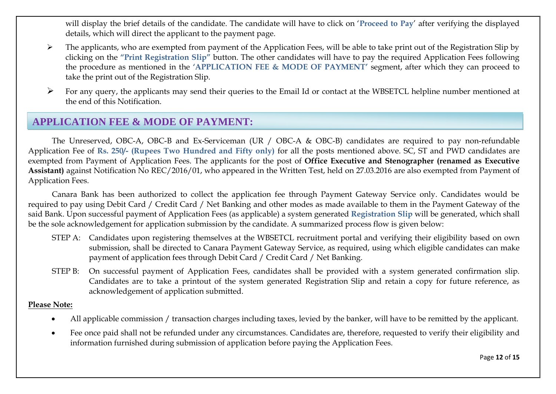will display the brief details of the candidate. The candidate will have to click on '**Proceed to Pay**' after verifying the displayed details, which will direct the applicant to the payment page.

- $\triangleright$  The applicants, who are exempted from payment of the Application Fees, will be able to take print out of the Registration Slip by clicking on the **"Print Registration Slip"** button. The other candidates will have to pay the required Application Fees following the procedure as mentioned in the **"APPLICATION FEE & MODE OF PAYMENT"** segment, after which they can proceed to take the print out of the Registration Slip.
- $\triangleright$  For any query, the applicants may send their queries to the Email Id or contact at the WBSETCL helpline number mentioned at the end of this Notification.

#### **APPLICATION FEE & MODE OF PAYMENT:**

The Unreserved, OBC-A, OBC-B and Ex-Serviceman (UR / OBC-A & OBC-B) candidates are required to pay non-refundable Application Fee of **Rs. 250/- (Rupees Two Hundred and Fifty only)** for all the posts mentioned above. SC, ST and PWD candidates are exempted from Payment of Application Fees. The applicants for the post of **Office Executive and Stenographer (renamed as Executive Assistant)** against Notification No REC/2016/01, who appeared in the Written Test, held on 27.03.2016 are also exempted from Payment of Application Fees.

Canara Bank has been authorized to collect the application fee through Payment Gateway Service only. Candidates would be required to pay using Debit Card / Credit Card / Net Banking and other modes as made available to them in the Payment Gateway of the said Bank. Upon successful payment of Application Fees (as applicable) a system generated **Registration Slip** will be generated, which shall be the sole acknowledgement for application submission by the candidate. A summarized process flow is given below:

- STEP A: Candidates upon registering themselves at the WBSETCL recruitment portal and verifying their eligibility based on own submission, shall be directed to Canara Payment Gateway Service, as required, using which eligible candidates can make payment of application fees through Debit Card / Credit Card / Net Banking.
- STEP B: On successful payment of Application Fees, candidates shall be provided with a system generated confirmation slip. Candidates are to take a printout of the system generated Registration Slip and retain a copy for future reference, as acknowledgement of application submitted.

#### **Please Note:**

- All applicable commission / transaction charges including taxes, levied by the banker, will have to be remitted by the applicant.
- Fee once paid shall not be refunded under any circumstances. Candidates are, therefore, requested to verify their eligibility and information furnished during submission of application before paying the Application Fees.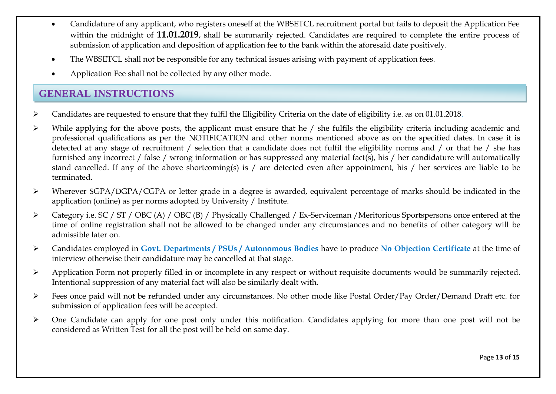- Candidature of any applicant, who registers oneself at the WBSETCL recruitment portal but fails to deposit the Application Fee within the midnight of **11.01.2019**, shall be summarily rejected. Candidates are required to complete the entire process of submission of application and deposition of application fee to the bank within the aforesaid date positively.
- The WBSETCL shall not be responsible for any technical issues arising with payment of application fees.
- Application Fee shall not be collected by any other mode.

## **GENERAL INSTRUCTIONS**

- Candidates are requested to ensure that they fulfil the Eligibility Criteria on the date of eligibility i.e. as on 01.01.2018.
- $\triangleright$  While applying for the above posts, the applicant must ensure that he / she fulfils the eligibility criteria including academic and professional qualifications as per the NOTIFICATION and other norms mentioned above as on the specified dates. In case it is detected at any stage of recruitment / selection that a candidate does not fulfil the eligibility norms and / or that he / she has furnished any incorrect / false / wrong information or has suppressed any material fact(s), his / her candidature will automatically stand cancelled. If any of the above shortcoming(s) is / are detected even after appointment, his / her services are liable to be terminated.
- Wherever SGPA/DGPA/CGPA or letter grade in a degree is awarded, equivalent percentage of marks should be indicated in the application (online) as per norms adopted by University / Institute.
- Category i.e. SC / ST / OBC (A) / OBC (B) / Physically Challenged / Ex-Serviceman /Meritorious Sportspersons once entered at the time of online registration shall not be allowed to be changed under any circumstances and no benefits of other category will be admissible later on.
- Candidates employed in **Govt. Departments / PSUs / Autonomous Bodies** have to produce **No Objection Certificate** at the time of interview otherwise their candidature may be cancelled at that stage.
- $\triangleright$  Application Form not properly filled in or incomplete in any respect or without requisite documents would be summarily rejected. Intentional suppression of any material fact will also be similarly dealt with.
- Fees once paid will not be refunded under any circumstances. No other mode like Postal Order/Pay Order/Demand Draft etc. for submission of application fees will be accepted.
- $\triangleright$  One Candidate can apply for one post only under this notification. Candidates applying for more than one post will not be considered as Written Test for all the post will be held on same day.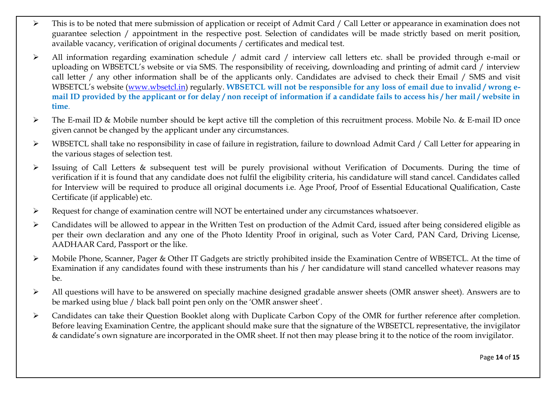- $\triangleright$  This is to be noted that mere submission of application or receipt of Admit Card / Call Letter or appearance in examination does not guarantee selection / appointment in the respective post. Selection of candidates will be made strictly based on merit position, available vacancy, verification of original documents / certificates and medical test.
- All information regarding examination schedule / admit card / interview call letters etc. shall be provided through e-mail or uploading on WBSETCL's website or via SMS. The responsibility of receiving, downloading and printing of admit card / interview call letter / any other information shall be of the applicants only. Candidates are advised to check their Email / SMS and visit WBSETCL's website ([www.wbsetcl.in\)](http://www.wbsetcl.in/) regularly. **WBSETCL will not be responsible for any loss of email due to invalid / wrong email ID provided by the applicant or for delay / non receipt of information if a candidate fails to access his / her mail / website in time**.
- The E-mail ID & Mobile number should be kept active till the completion of this recruitment process. Mobile No. & E-mail ID once given cannot be changed by the applicant under any circumstances.
- WBSETCL shall take no responsibility in case of failure in registration, failure to download Admit Card / Call Letter for appearing in the various stages of selection test.
- Issuing of Call Letters & subsequent test will be purely provisional without Verification of Documents. During the time of verification if it is found that any candidate does not fulfil the eligibility criteria, his candidature will stand cancel. Candidates called for Interview will be required to produce all original documents i.e. Age Proof, Proof of Essential Educational Qualification, Caste Certificate (if applicable) etc.
- Request for change of examination centre will NOT be entertained under any circumstances whatsoever.
- Candidates will be allowed to appear in the Written Test on production of the Admit Card, issued after being considered eligible as per their own declaration and any one of the Photo Identity Proof in original, such as Voter Card, PAN Card, Driving License, AADHAAR Card, Passport or the like.
- Mobile Phone, Scanner, Pager & Other IT Gadgets are strictly prohibited inside the Examination Centre of WBSETCL. At the time of Examination if any candidates found with these instruments than his / her candidature will stand cancelled whatever reasons may be.
- $\triangleright$  All questions will have to be answered on specially machine designed gradable answer sheets (OMR answer sheet). Answers are to be marked using blue / black ball point pen only on the 'OMR answer sheet'.
- Candidates can take their Question Booklet along with Duplicate Carbon Copy of the OMR for further reference after completion. Before leaving Examination Centre, the applicant should make sure that the signature of the WBSETCL representative, the invigilator & candidate's own signature are incorporated in the OMR sheet. If not then may please bring it to the notice of the room invigilator.